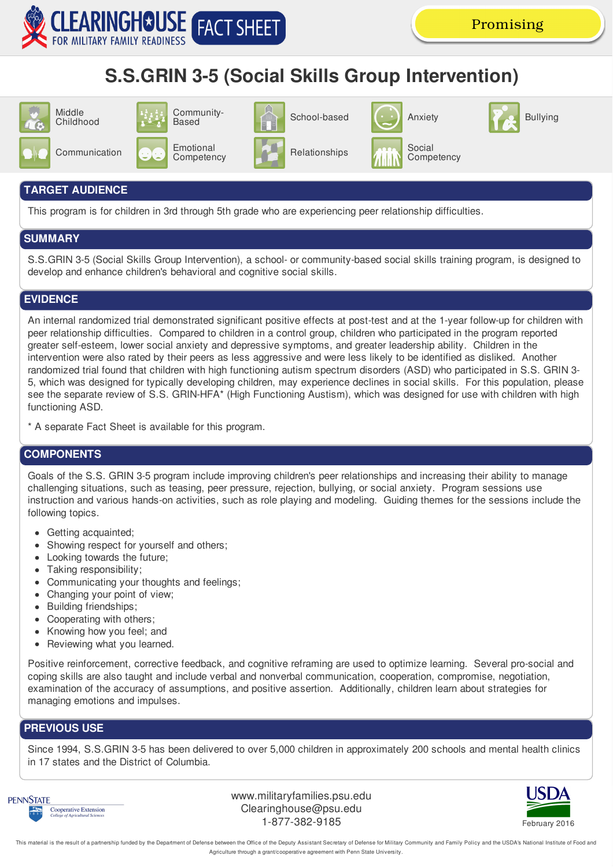

# **S.S.GRIN 3-5 (Social Skills Group Intervention)**



#### **TARGET AUDIENCE**

This program is for children in 3rd through 5th grade who are experiencing peer relationship difficulties.

## **SUMMARY**

S.S.GRIN 3-5 (Social Skills Group Intervention), a school- or community-based social skills training program, is designed to develop and enhance children's behavioral and cognitive social skills.

# **EVIDENCE**

An internal randomized trial demonstrated significant positive effects at post-test and at the 1-year follow-up for children with peer relationship difficulties. Compared to children in a control group, children who participated in the program reported greater self-esteem, lower social anxiety and depressive symptoms, and greater leadership ability. Children in the intervention were also rated by their peers as less aggressive and were less likely to be identified as disliked. Another randomized trial found that children with high functioning autism spectrum disorders (ASD) who participated in S.S. GRIN 3- 5, which was designed for typically developing children, may experience declines in social skills. For this population, please see the separate review of S.S. GRIN-HFA\* (High Functioning Austism), which was designed for use with children with high functioning ASD.

\* A separate Fact Sheet is available for this program.

## **COMPONENTS**

Goals of the S.S. GRIN 3-5 program include improving children's peer relationships and increasing their ability to manage challenging situations, such as teasing, peer pressure, rejection, bullying, or social anxiety. Program sessions use instruction and various hands-on activities, such as role playing and modeling. Guiding themes for the sessions include the following topics.

- Getting acquainted;
- Showing respect for yourself and others;
- Looking towards the future;
- Taking responsibility;
- Communicating your thoughts and feelings;
- Changing your point of view;
- Building friendships;
- Cooperating with others;
- Knowing how you feel; and
- Reviewing what you learned.

Positive reinforcement, corrective feedback, and cognitive reframing are used to optimize learning. Several pro-social and coping skills are also taught and include verbal and nonverbal communication, cooperation, compromise, negotiation, examination of the accuracy of assumptions, and positive assertion. Additionally, children learn about strategies for managing emotions and impulses.

## **PREVIOUS USE**

Since 1994, S.S.GRIN 3-5 has been delivered to over 5,000 children in approximately 200 schools and mental health clinics in 17 states and the District of Columbia.



www.militaryfamilies.psu.edu Clearinghouse@psu.edu 1-877-382-9185 February 2016